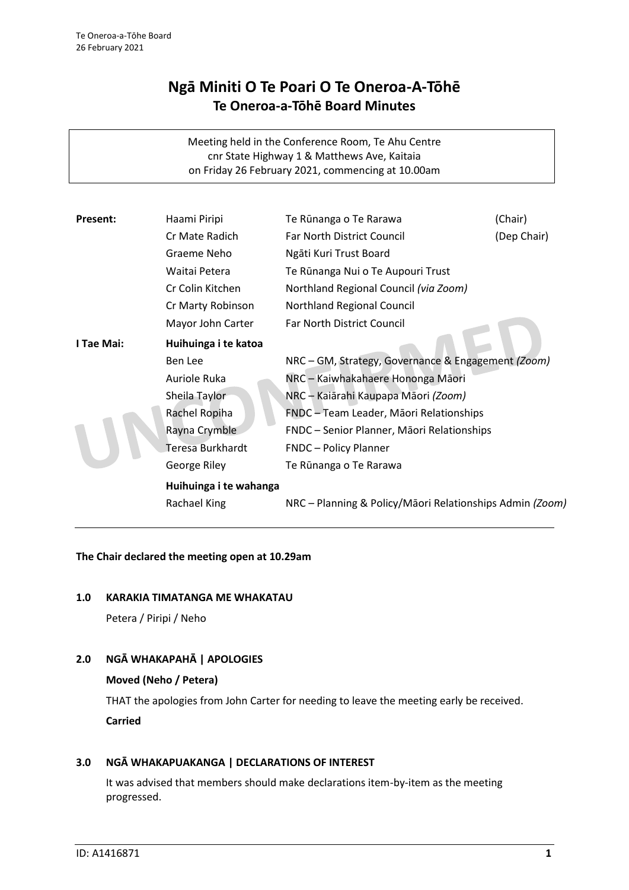# **Ngā Miniti O Te Poari O Te Oneroa-A-Tōhē Te Oneroa-a-Tōhē Board Minutes**

Meeting held in the Conference Room, Te Ahu Centre cnr State Highway 1 & Matthews Ave, Kaitaia on Friday 26 February 2021, commencing at 10.00am

| Present:   | Haami Piripi           | Te Rūnanga o Te Rarawa                                   | (Chair)     |
|------------|------------------------|----------------------------------------------------------|-------------|
|            | Cr Mate Radich         | Far North District Council                               | (Dep Chair) |
|            | Graeme Neho            | Ngāti Kuri Trust Board                                   |             |
|            | Waitai Petera          | Te Rūnanga Nui o Te Aupouri Trust                        |             |
|            | Cr Colin Kitchen       | Northland Regional Council (via Zoom)                    |             |
|            | Cr Marty Robinson      | Northland Regional Council                               |             |
|            | Mayor John Carter      | Far North District Council                               |             |
| I Tae Mai: | Huihuinga i te katoa   |                                                          |             |
|            | Ben Lee                | NRC - GM, Strategy, Governance & Engagement (Zoom)       |             |
|            | Auriole Ruka           | NRC - Kaiwhakahaere Hononga Māori                        |             |
|            | Sheila Taylor          | NRC - Kaiārahi Kaupapa Māori (Zoom)                      |             |
|            | Rachel Ropiha          | FNDC - Team Leader, Māori Relationships                  |             |
|            | Rayna Crymble          | FNDC - Senior Planner, Māori Relationships               |             |
|            | Teresa Burkhardt       | <b>FNDC</b> - Policy Planner                             |             |
|            | George Riley           | Te Rūnanga o Te Rarawa                                   |             |
|            | Huihuinga i te wahanga |                                                          |             |
|            | Rachael King           | NRC - Planning & Policy/Māori Relationships Admin (Zoom) |             |
|            |                        |                                                          |             |

# **The Chair declared the meeting open at 10.29am**

# **1.0 KARAKIA TIMATANGA ME WHAKATAU**

Petera / Piripi / Neho

# **2.0 NGĀ WHAKAPAHĀ | APOLOGIES**

# **Moved (Neho / Petera)**

THAT the apologies from John Carter for needing to leave the meeting early be received. **Carried**

# **3.0 NGĀ WHAKAPUAKANGA | DECLARATIONS OF INTEREST**

It was advised that members should make declarations item-by-item as the meeting progressed.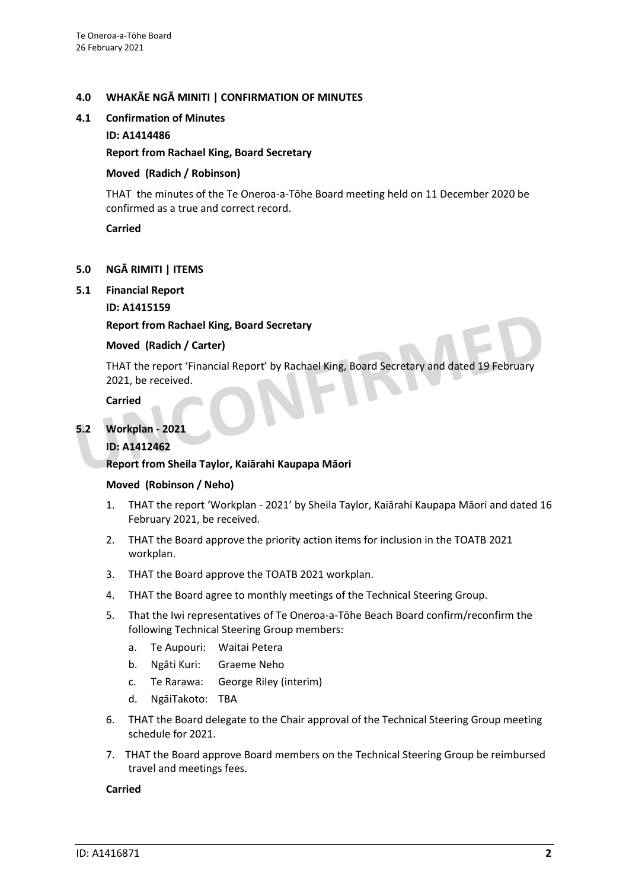# **4.0 WHAKĀE NGĀ MINITI | CONFIRMATION OF MINUTES**

#### **4.1 Confirmation of Minutes**

#### **ID: A1414486**

# **Report from Rachael King, Board Secretary**

# **Moved (Radich / Robinson)**

THAT the minutes of the Te Oneroa-a-Tōhe Board meeting held on 11 December 2020 be confirmed as a true and correct record.

**Carried**

# **5.0 NGĀ RIMITI | ITEMS**

# **5.1 Financial Report**

# **ID: A1415159**

# **Report from Rachael King, Board Secretary**

# **Moved (Radich / Carter)**

THAT the report 'Financial Report' by Rachael King, Board Secretary and dated 19 February 2021, be received.

**Carried**

# **5.2 Workplan - 2021**

# **ID: A1412462**

#### **Report from Sheila Taylor, Kaiārahi Kaupapa Māori**

#### **Moved (Robinson / Neho)**

- 1. THAT the report 'Workplan 2021' by Sheila Taylor, Kaiārahi Kaupapa Māori and dated 16 February 2021, be received.
- 2. THAT the Board approve the priority action items for inclusion in the TOATB 2021 workplan.
- 3. THAT the Board approve the TOATB 2021 workplan.
- 4. THAT the Board agree to monthly meetings of the Technical Steering Group.
- 5. That the Iwi representatives of Te Oneroa-a-Tōhe Beach Board confirm/reconfirm the following Technical Steering Group members:
	- a. Te Aupouri: Waitai Petera
	- b. Ngāti Kuri: Graeme Neho
	- c. Te Rarawa: George Riley (interim)
	- d. NgāiTakoto: TBA
- 6. THAT the Board delegate to the Chair approval of the Technical Steering Group meeting schedule for 2021.
- 7. THAT the Board approve Board members on the Technical Steering Group be reimbursed travel and meetings fees.

#### **Carried**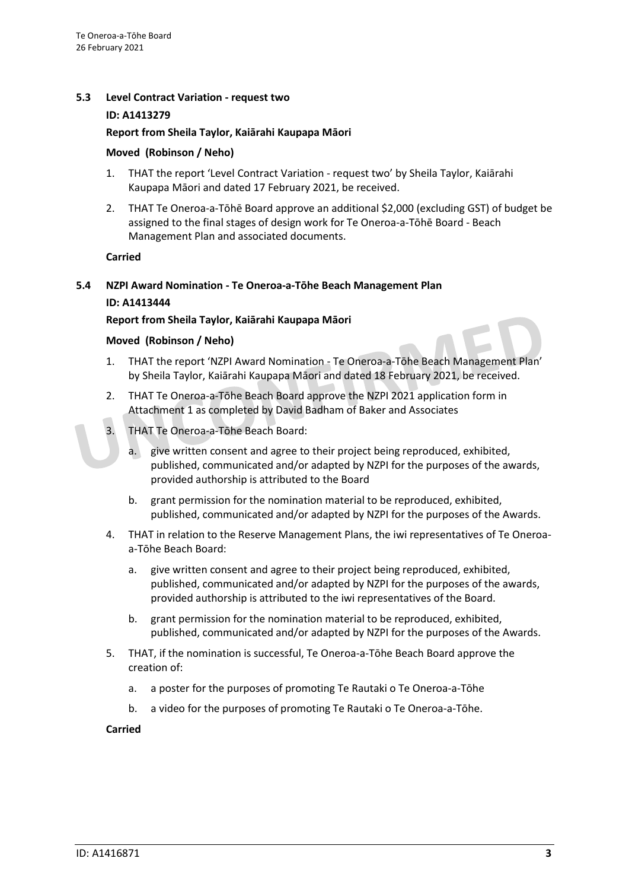# **5.3 Level Contract Variation - request two**

#### **ID: A1413279**

# **Report from Sheila Taylor, Kaiārahi Kaupapa Māori**

#### **Moved (Robinson / Neho)**

- 1. THAT the report 'Level Contract Variation request two' by Sheila Taylor, Kaiārahi Kaupapa Māori and dated 17 February 2021, be received.
- 2. THAT Te Oneroa-a-Tōhē Board approve an additional \$2,000 (excluding GST) of budget be assigned to the final stages of design work for Te Oneroa-a-Tōhē Board - Beach Management Plan and associated documents.

# **Carried**

# **5.4 NZPI Award Nomination - Te Oneroa-a-Tōhe Beach Management Plan ID: A1413444**

# **Report from Sheila Taylor, Kaiārahi Kaupapa Māori**

#### **Moved (Robinson / Neho)**

- 1. THAT the report 'NZPI Award Nomination Te Oneroa-a-Tōhe Beach Management Plan' by Sheila Taylor, Kaiārahi Kaupapa Māori and dated 18 February 2021, be received.
- 2. THAT Te Oneroa-a-Tōhe Beach Board approve the NZPI 2021 application form in Attachment 1 as completed by David Badham of Baker and Associates
- 3. THAT Te Oneroa-a-Tōhe Beach Board:
	- a. give written consent and agree to their project being reproduced, exhibited, published, communicated and/or adapted by NZPI for the purposes of the awards, provided authorship is attributed to the Board
	- b. grant permission for the nomination material to be reproduced, exhibited, published, communicated and/or adapted by NZPI for the purposes of the Awards.
- 4. THAT in relation to the Reserve Management Plans, the iwi representatives of Te Oneroaa-Tōhe Beach Board:
	- a. give written consent and agree to their project being reproduced, exhibited, published, communicated and/or adapted by NZPI for the purposes of the awards, provided authorship is attributed to the iwi representatives of the Board.
	- b. grant permission for the nomination material to be reproduced, exhibited, published, communicated and/or adapted by NZPI for the purposes of the Awards.
- 5. THAT, if the nomination is successful, Te Oneroa-a-Tōhe Beach Board approve the creation of:
	- a. a poster for the purposes of promoting Te Rautaki o Te Oneroa-a-Tōhe
	- b. a video for the purposes of promoting Te Rautaki o Te Oneroa-a-Tōhe.

#### **Carried**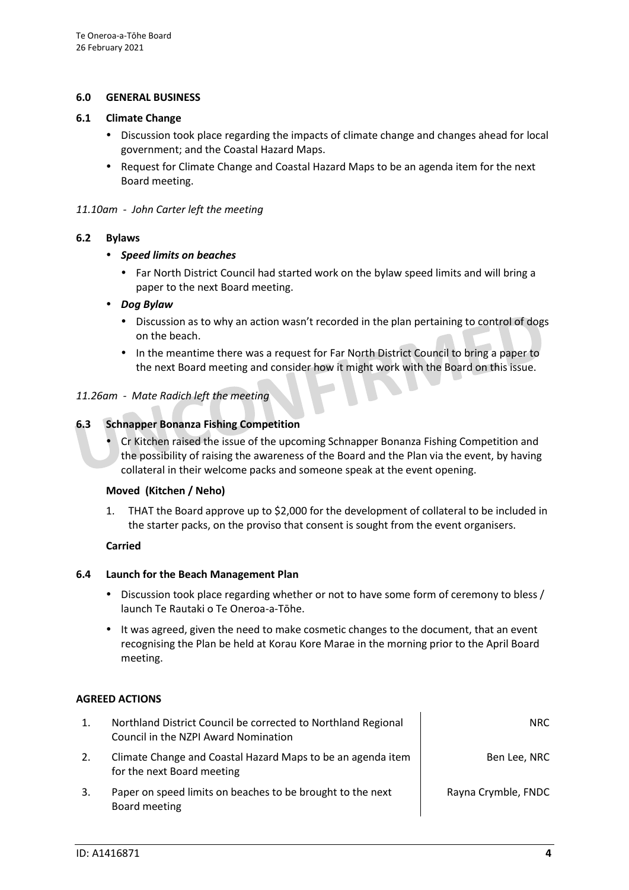# **6.0 GENERAL BUSINESS**

#### **6.1 Climate Change**

- Discussion took place regarding the impacts of climate change and changes ahead for local government; and the Coastal Hazard Maps.
- Request for Climate Change and Coastal Hazard Maps to be an agenda item for the next Board meeting.

# *11.10am - John Carter left the meeting*

# **6.2 Bylaws**

- *Speed limits on beaches*
	- Far North District Council had started work on the bylaw speed limits and will bring a paper to the next Board meeting.

# *Dog Bylaw*

- Discussion as to why an action wasn't recorded in the plan pertaining to control of dogs on the beach.
- In the meantime there was a request for Far North District Council to bring a paper to the next Board meeting and consider how it might work with the Board on this issue.

# *11.26am - Mate Radich left the meeting*

# **6.3 Schnapper Bonanza Fishing Competition**

 Cr Kitchen raised the issue of the upcoming Schnapper Bonanza Fishing Competition and the possibility of raising the awareness of the Board and the Plan via the event, by having collateral in their welcome packs and someone speak at the event opening.

#### **Moved (Kitchen / Neho)**

1. THAT the Board approve up to \$2,000 for the development of collateral to be included in the starter packs, on the proviso that consent is sought from the event organisers.

#### **Carried**

#### **6.4 Launch for the Beach Management Plan**

- Discussion took place regarding whether or not to have some form of ceremony to bless / launch Te Rautaki o Te Oneroa-a-Tōhe.
- It was agreed, given the need to make cosmetic changes to the document, that an event recognising the Plan be held at Korau Kore Marae in the morning prior to the April Board meeting.

# **AGREED ACTIONS**

|    | Northland District Council be corrected to Northland Regional<br>Council in the NZPI Award Nomination | NRC.                |
|----|-------------------------------------------------------------------------------------------------------|---------------------|
| 2. | Climate Change and Coastal Hazard Maps to be an agenda item<br>for the next Board meeting             | Ben Lee, NRC        |
| 3. | Paper on speed limits on beaches to be brought to the next<br>Board meeting                           | Rayna Crymble, FNDC |